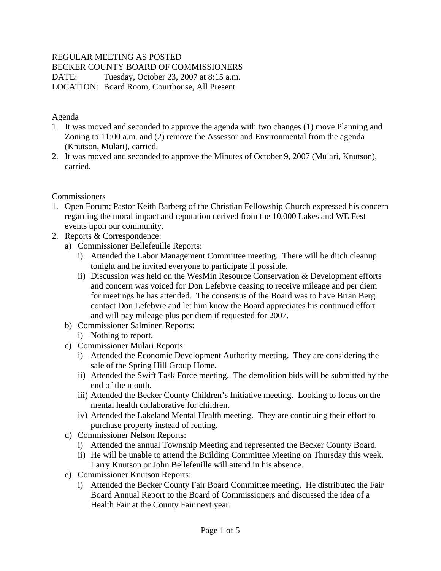### REGULAR MEETING AS POSTED

BECKER COUNTY BOARD OF COMMISSIONERS

DATE: Tuesday, October 23, 2007 at 8:15 a.m.

LOCATION: Board Room, Courthouse, All Present

#### Agenda

- 1. It was moved and seconded to approve the agenda with two changes (1) move Planning and Zoning to 11:00 a.m. and (2) remove the Assessor and Environmental from the agenda (Knutson, Mulari), carried.
- 2. It was moved and seconded to approve the Minutes of October 9, 2007 (Mulari, Knutson), carried.

### **Commissioners**

- 1. Open Forum; Pastor Keith Barberg of the Christian Fellowship Church expressed his concern regarding the moral impact and reputation derived from the 10,000 Lakes and WE Fest events upon our community.
- 2. Reports & Correspondence:
	- a) Commissioner Bellefeuille Reports:
		- i) Attended the Labor Management Committee meeting. There will be ditch cleanup tonight and he invited everyone to participate if possible.
		- ii) Discussion was held on the WesMin Resource Conservation & Development efforts and concern was voiced for Don Lefebvre ceasing to receive mileage and per diem for meetings he has attended. The consensus of the Board was to have Brian Berg contact Don Lefebvre and let him know the Board appreciates his continued effort and will pay mileage plus per diem if requested for 2007.
	- b) Commissioner Salminen Reports:
		- i) Nothing to report.
	- c) Commissioner Mulari Reports:
		- i) Attended the Economic Development Authority meeting. They are considering the sale of the Spring Hill Group Home.
		- ii) Attended the Swift Task Force meeting. The demolition bids will be submitted by the end of the month.
		- iii) Attended the Becker County Children's Initiative meeting. Looking to focus on the mental health collaborative for children.
		- iv) Attended the Lakeland Mental Health meeting. They are continuing their effort to purchase property instead of renting.
	- d) Commissioner Nelson Reports:
		- i) Attended the annual Township Meeting and represented the Becker County Board.
		- ii) He will be unable to attend the Building Committee Meeting on Thursday this week. Larry Knutson or John Bellefeuille will attend in his absence.
	- e) Commissioner Knutson Reports:
		- i) Attended the Becker County Fair Board Committee meeting. He distributed the Fair Board Annual Report to the Board of Commissioners and discussed the idea of a Health Fair at the County Fair next year.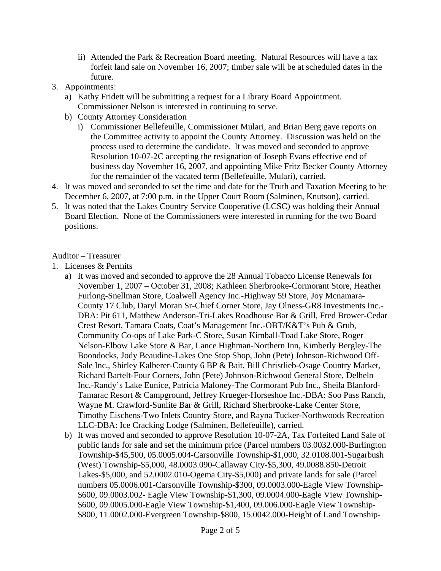- ii) Attended the Park & Recreation Board meeting. Natural Resources will have a tax forfeit land sale on November 16, 2007; timber sale will be at scheduled dates in the future.
- 3. Appointments:
	- a) Kathy Fridett will be submitting a request for a Library Board Appointment. Commissioner Nelson is interested in continuing to serve.
	- b) County Attorney Consideration
		- i) Commissioner Bellefeuille, Commissioner Mulari, and Brian Berg gave reports on the Committee activity to appoint the County Attorney. Discussion was held on the process used to determine the candidate. It was moved and seconded to approve Resolution 10-07-2C accepting the resignation of Joseph Evans effective end of business day November 16, 2007, and appointing Mike Fritz Becker County Attorney for the remainder of the vacated term (Bellefeuille, Mulari), carried.
- 4. It was moved and seconded to set the time and date for the Truth and Taxation Meeting to be December 6, 2007, at 7:00 p.m. in the Upper Court Room (Salminen, Knutson), carried.
- 5. It was noted that the Lakes Country Service Cooperative (LCSC) was holding their Annual Board Election. None of the Commissioners were interested in running for the two Board positions.

#### Auditor – Treasurer

- 1. Licenses & Permits
	- a) It was moved and seconded to approve the 28 Annual Tobacco License Renewals for November 1, 2007 – October 31, 2008; Kathleen Sherbrooke-Cormorant Store, Heather Furlong-Snellman Store, Coalwell Agency Inc.-Highway 59 Store, Joy Mcnamara-County 17 Club, Daryl Moran Sr-Chief Corner Store, Jay Olness-GR8 Investments Inc.- DBA: Pit 611, Matthew Anderson-Tri-Lakes Roadhouse Bar & Grill, Fred Brower-Cedar Crest Resort, Tamara Coats, Coat's Management Inc.-OBT/K&T's Pub & Grub, Community Co-ops of Lake Park-C Store, Susan Kimball-Toad Lake Store, Roger Nelson-Elbow Lake Store & Bar, Lance Highman-Northern Inn, Kimberly Bergley-The Boondocks, Jody Beaudine-Lakes One Stop Shop, John (Pete) Johnson-Richwood Off-Sale Inc., Shirley Kalberer-County 6 BP & Bait, Bill Christlieb-Osage Country Market, Richard Bartelt-Four Corners, John (Pete) Johnson-Richwood General Store, Delheln Inc.-Randy's Lake Eunice, Patricia Maloney-The Cormorant Pub Inc., Sheila Blanford-Tamarac Resort & Campground, Jeffrey Krueger-Horseshoe Inc.-DBA: Soo Pass Ranch, Wayne M. Crawford-Sunlite Bar & Grill, Richard Sherbrooke-Lake Center Store, Timothy Eischens-Two Inlets Country Store, and Rayna Tucker-Northwoods Recreation LLC-DBA: Ice Cracking Lodge (Salminen, Bellefeuille), carried.
	- b) It was moved and seconded to approve Resolution 10-07-2A, Tax Forfeited Land Sale of public lands for sale and set the minimum price (Parcel numbers 03.0032.000-Burlington Township-\$45,500, 05.0005.004-Carsonville Township-\$1,000, 32.0108.001-Sugarbush (West) Township-\$5,000, 48.0003.090-Callaway City-\$5,300, 49.0088.850-Detroit Lakes-\$5,000, and 52.0002.010-Ogema City-\$5,000) and private lands for sale (Parcel numbers 05.0006.001-Carsonville Township-\$300, 09.0003.000-Eagle View Township- \$600, 09.0003.002- Eagle View Township-\$1,300, 09.0004.000-Eagle View Township- \$600, 09.0005.000-Eagle View Township-\$1,400, 09.006.000-Eagle View Township- \$800, 11.0002.000-Evergreen Township-\$800, 15.0042.000-Height of Land Township-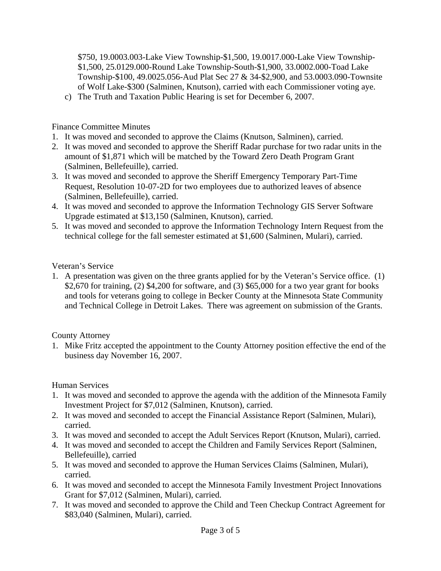\$750, 19.0003.003-Lake View Township-\$1,500, 19.0017.000-Lake View Township- \$1,500, 25.0129.000-Round Lake Township-South-\$1,900, 33.0002.000-Toad Lake Township-\$100, 49.0025.056-Aud Plat Sec 27 & 34-\$2,900, and 53.0003.090-Townsite of Wolf Lake-\$300 (Salminen, Knutson), carried with each Commissioner voting aye.

c) The Truth and Taxation Public Hearing is set for December 6, 2007.

# Finance Committee Minutes

- 1. It was moved and seconded to approve the Claims (Knutson, Salminen), carried.
- 2. It was moved and seconded to approve the Sheriff Radar purchase for two radar units in the amount of \$1,871 which will be matched by the Toward Zero Death Program Grant (Salminen, Bellefeuille), carried.
- 3. It was moved and seconded to approve the Sheriff Emergency Temporary Part-Time Request, Resolution 10-07-2D for two employees due to authorized leaves of absence (Salminen, Bellefeuille), carried.
- 4. It was moved and seconded to approve the Information Technology GIS Server Software Upgrade estimated at \$13,150 (Salminen, Knutson), carried.
- 5. It was moved and seconded to approve the Information Technology Intern Request from the technical college for the fall semester estimated at \$1,600 (Salminen, Mulari), carried.

### Veteran's Service

1. A presentation was given on the three grants applied for by the Veteran's Service office. (1) \$2,670 for training, (2) \$4,200 for software, and (3) \$65,000 for a two year grant for books and tools for veterans going to college in Becker County at the Minnesota State Community and Technical College in Detroit Lakes. There was agreement on submission of the Grants.

County Attorney

1. Mike Fritz accepted the appointment to the County Attorney position effective the end of the business day November 16, 2007.

# Human Services

- 1. It was moved and seconded to approve the agenda with the addition of the Minnesota Family Investment Project for \$7,012 (Salminen, Knutson), carried.
- 2. It was moved and seconded to accept the Financial Assistance Report (Salminen, Mulari), carried.
- 3. It was moved and seconded to accept the Adult Services Report (Knutson, Mulari), carried.
- 4. It was moved and seconded to accept the Children and Family Services Report (Salminen, Bellefeuille), carried
- 5. It was moved and seconded to approve the Human Services Claims (Salminen, Mulari), carried.
- 6. It was moved and seconded to accept the Minnesota Family Investment Project Innovations Grant for \$7,012 (Salminen, Mulari), carried.
- 7. It was moved and seconded to approve the Child and Teen Checkup Contract Agreement for \$83,040 (Salminen, Mulari), carried.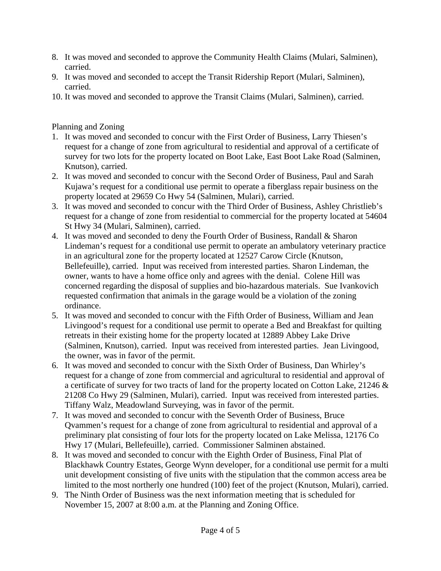- 8. It was moved and seconded to approve the Community Health Claims (Mulari, Salminen), carried.
- 9. It was moved and seconded to accept the Transit Ridership Report (Mulari, Salminen), carried.
- 10. It was moved and seconded to approve the Transit Claims (Mulari, Salminen), carried.

Planning and Zoning

- 1. It was moved and seconded to concur with the First Order of Business, Larry Thiesen's request for a change of zone from agricultural to residential and approval of a certificate of survey for two lots for the property located on Boot Lake, East Boot Lake Road (Salminen, Knutson), carried.
- 2. It was moved and seconded to concur with the Second Order of Business, Paul and Sarah Kujawa's request for a conditional use permit to operate a fiberglass repair business on the property located at 29659 Co Hwy 54 (Salminen, Mulari), carried.
- 3. It was moved and seconded to concur with the Third Order of Business, Ashley Christlieb's request for a change of zone from residential to commercial for the property located at 54604 St Hwy 34 (Mulari, Salminen), carried.
- 4. It was moved and seconded to deny the Fourth Order of Business, Randall & Sharon Lindeman's request for a conditional use permit to operate an ambulatory veterinary practice in an agricultural zone for the property located at 12527 Carow Circle (Knutson, Bellefeuille), carried. Input was received from interested parties. Sharon Lindeman, the owner, wants to have a home office only and agrees with the denial. Colene Hill was concerned regarding the disposal of supplies and bio-hazardous materials. Sue Ivankovich requested confirmation that animals in the garage would be a violation of the zoning ordinance.
- 5. It was moved and seconded to concur with the Fifth Order of Business, William and Jean Livingood's request for a conditional use permit to operate a Bed and Breakfast for quilting retreats in their existing home for the property located at 12889 Abbey Lake Drive (Salminen, Knutson), carried. Input was received from interested parties. Jean Livingood, the owner, was in favor of the permit.
- 6. It was moved and seconded to concur with the Sixth Order of Business, Dan Whirley's request for a change of zone from commercial and agricultural to residential and approval of a certificate of survey for two tracts of land for the property located on Cotton Lake, 21246 & 21208 Co Hwy 29 (Salminen, Mulari), carried. Input was received from interested parties. Tiffany Walz, Meadowland Surveying, was in favor of the permit.
- 7. It was moved and seconded to concur with the Seventh Order of Business, Bruce Qvammen's request for a change of zone from agricultural to residential and approval of a preliminary plat consisting of four lots for the property located on Lake Melissa, 12176 Co Hwy 17 (Mulari, Bellefeuille), carried. Commissioner Salminen abstained.
- 8. It was moved and seconded to concur with the Eighth Order of Business, Final Plat of Blackhawk Country Estates, George Wynn developer, for a conditional use permit for a multi unit development consisting of five units with the stipulation that the common access area be limited to the most northerly one hundred (100) feet of the project (Knutson, Mulari), carried.
- 9. The Ninth Order of Business was the next information meeting that is scheduled for November 15, 2007 at 8:00 a.m. at the Planning and Zoning Office.